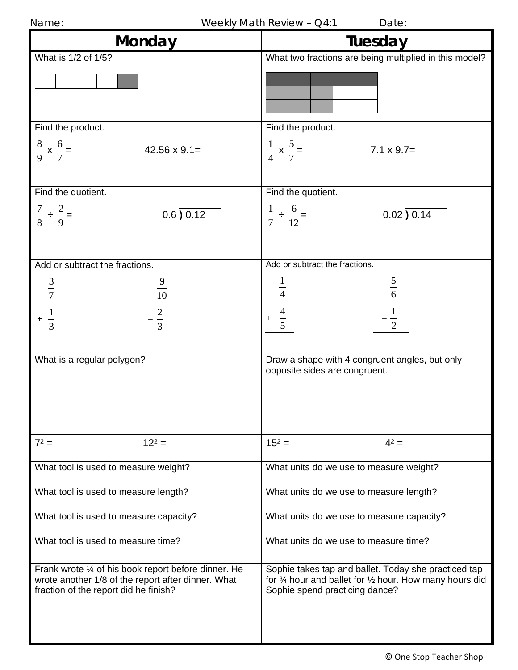| Name: |  |
|-------|--|
|-------|--|

Weekly Math Review -  $Q4:1$  Date:

| Monday                                                                                                                                              | Tuesday                                                                                                                                                                |
|-----------------------------------------------------------------------------------------------------------------------------------------------------|------------------------------------------------------------------------------------------------------------------------------------------------------------------------|
| What is 1/2 of 1/5?                                                                                                                                 | What two fractions are being multiplied in this model?                                                                                                                 |
|                                                                                                                                                     |                                                                                                                                                                        |
| Find the product.                                                                                                                                   | Find the product.                                                                                                                                                      |
| $\frac{8}{9} \times \frac{6}{7} =$<br>$42.56 \times 9.1 =$                                                                                          | $rac{1}{4}$ x $rac{5}{7}$ =<br>$7.1 \times 9.7=$                                                                                                                       |
| Find the quotient.                                                                                                                                  | Find the quotient.                                                                                                                                                     |
| $\frac{7}{8} \div \frac{2}{9} =$<br>0.6) 0.12                                                                                                       | $\frac{1}{7} \div \frac{6}{12} =$<br>$0.02$ $\overline{)0.14}$                                                                                                         |
|                                                                                                                                                     |                                                                                                                                                                        |
| Add or subtract the fractions.                                                                                                                      | Add or subtract the fractions.                                                                                                                                         |
| $\frac{9}{10}$<br>$rac{3}{7}$                                                                                                                       | $\frac{5}{6}$                                                                                                                                                          |
|                                                                                                                                                     |                                                                                                                                                                        |
| $rac{2}{3}$                                                                                                                                         | $\frac{1}{2}$                                                                                                                                                          |
|                                                                                                                                                     |                                                                                                                                                                        |
| What is a regular polygon?                                                                                                                          | Draw a shape with 4 congruent angles, but only<br>opposite sides are congruent.                                                                                        |
| $7^2$ =<br>$12^2 =$                                                                                                                                 | $15^2 =$<br>$4^2 =$                                                                                                                                                    |
| What tool is used to measure weight?                                                                                                                | What units do we use to measure weight?                                                                                                                                |
| What tool is used to measure length?                                                                                                                | What units do we use to measure length?                                                                                                                                |
| What tool is used to measure capacity?                                                                                                              | What units do we use to measure capacity?                                                                                                                              |
| What tool is used to measure time?                                                                                                                  | What units do we use to measure time?                                                                                                                                  |
| Frank wrote 1/4 of his book report before dinner. He<br>wrote another 1/8 of the report after dinner. What<br>fraction of the report did he finish? | Sophie takes tap and ballet. Today she practiced tap<br>for $\frac{3}{4}$ hour and ballet for $\frac{1}{2}$ hour. How many hours did<br>Sophie spend practicing dance? |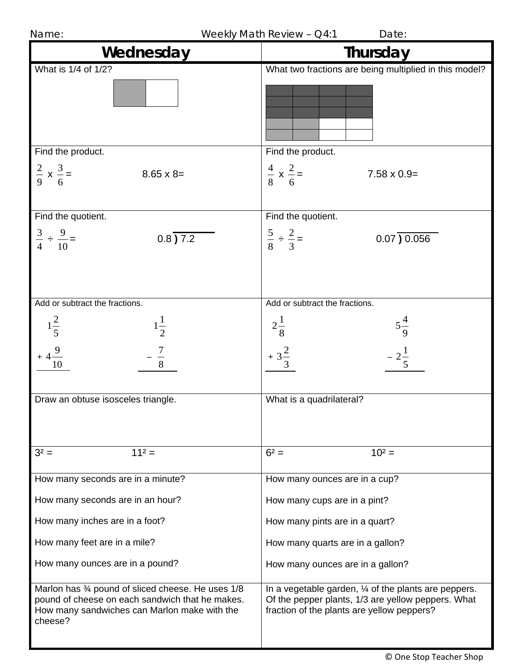| Wednesday                                                                                                                                                       | Thursday                                                                                                                                                  |
|-----------------------------------------------------------------------------------------------------------------------------------------------------------------|-----------------------------------------------------------------------------------------------------------------------------------------------------------|
| What is 1/4 of 1/2?                                                                                                                                             | What two fractions are being multiplied in this model?                                                                                                    |
|                                                                                                                                                                 |                                                                                                                                                           |
| Find the product.                                                                                                                                               | Find the product.                                                                                                                                         |
| $rac{2}{9}$ x $rac{3}{6}$ =<br>$8.65 \times 8=$                                                                                                                 | $\frac{4}{8}$ x $\frac{2}{6}$ =<br>$7.58 \times 0.9=$                                                                                                     |
| Find the quotient.                                                                                                                                              | Find the quotient.                                                                                                                                        |
| $\frac{3}{4} \div \frac{9}{10} =$<br>$0.8\sqrt{7.2}$                                                                                                            | $\frac{5}{8} \div \frac{2}{3} =$<br>$0.07$ ) $0.056$                                                                                                      |
| Add or subtract the fractions.                                                                                                                                  | Add or subtract the fractions.                                                                                                                            |
| $1\frac{2}{5}$<br>$1\frac{1}{2}$<br>10                                                                                                                          | $2\frac{1}{8}$<br>$5\frac{4}{9}$<br>$+3\frac{2}{2}$<br>$-2\frac{1}{5}$                                                                                    |
|                                                                                                                                                                 |                                                                                                                                                           |
| Draw an obtuse isosceles triangle.                                                                                                                              | What is a quadrilateral?                                                                                                                                  |
| $11^2 =$<br>$3^2 =$                                                                                                                                             | $6^2 =$<br>$10^2 =$                                                                                                                                       |
| How many seconds are in a minute?                                                                                                                               | How many ounces are in a cup?                                                                                                                             |
| How many seconds are in an hour?                                                                                                                                | How many cups are in a pint?                                                                                                                              |
| How many inches are in a foot?                                                                                                                                  | How many pints are in a quart?                                                                                                                            |
| How many feet are in a mile?                                                                                                                                    | How many quarts are in a gallon?                                                                                                                          |
| How many ounces are in a pound?                                                                                                                                 | How many ounces are in a gallon?                                                                                                                          |
| Marlon has 34 pound of sliced cheese. He uses 1/8<br>pound of cheese on each sandwich that he makes.<br>How many sandwiches can Marlon make with the<br>cheese? | In a vegetable garden, 1/4 of the plants are peppers.<br>Of the pepper plants, 1/3 are yellow peppers. What<br>fraction of the plants are yellow peppers? |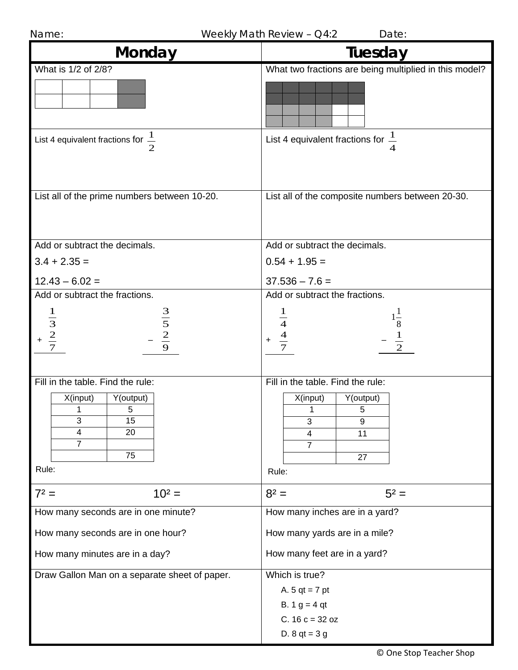| Name:                                                            | Weekly Math Review - Q4:2<br>Date:                                 |
|------------------------------------------------------------------|--------------------------------------------------------------------|
| <b>Monday</b>                                                    | Tuesday                                                            |
| What is 1/2 of 2/8?                                              | What two fractions are being multiplied in this model?             |
| List 4 equivalent fractions for $\frac{1}{2}$                    | List 4 equivalent fractions for $\frac{1}{2}$                      |
| List all of the prime numbers between 10-20.                     | List all of the composite numbers between 20-30.                   |
| Add or subtract the decimals.                                    | Add or subtract the decimals.                                      |
| $3.4 + 2.35 =$                                                   | $0.54 + 1.95 =$                                                    |
| $12.43 - 6.02 =$                                                 | $37.536 - 7.6 =$                                                   |
| Add or subtract the fractions.                                   | Add or subtract the fractions.                                     |
| $\frac{3}{5}$<br>$\frac{2}{9}$<br>$\frac{1}{3}$<br>$\frac{2}{7}$ | $1\frac{1}{8}$<br>$\overline{4}$<br>$\frac{4}{7}$<br>$\frac{1}{2}$ |
| Fill in the table. Find the rule:                                | Fill in the table. Find the rule:                                  |
| X(input)<br>Y(output)                                            | X(input)<br>Y(output)                                              |
| 5<br>1<br>3<br>15                                                | 1<br>$5\phantom{.0}$<br>3<br>9                                     |
| 20<br>4                                                          | 11<br>4                                                            |
| $\overline{7}$<br>75                                             | $\overline{7}$                                                     |
| Rule:                                                            | 27<br>Rule:                                                        |
| $7^2 =$<br>$10^2 =$                                              | $8^2 =$<br>$5^2 =$                                                 |
| How many seconds are in one minute?                              | How many inches are in a yard?                                     |
| How many seconds are in one hour?                                | How many yards are in a mile?                                      |
| How many minutes are in a day?                                   | How many feet are in a yard?                                       |
| Draw Gallon Man on a separate sheet of paper.                    | Which is true?                                                     |
|                                                                  | A. $5$ qt = 7 pt                                                   |
|                                                                  | B. $1 g = 4 qt$                                                    |
|                                                                  | C. $16 c = 32 oz$                                                  |
|                                                                  | D. $8$ qt = $3$ g                                                  |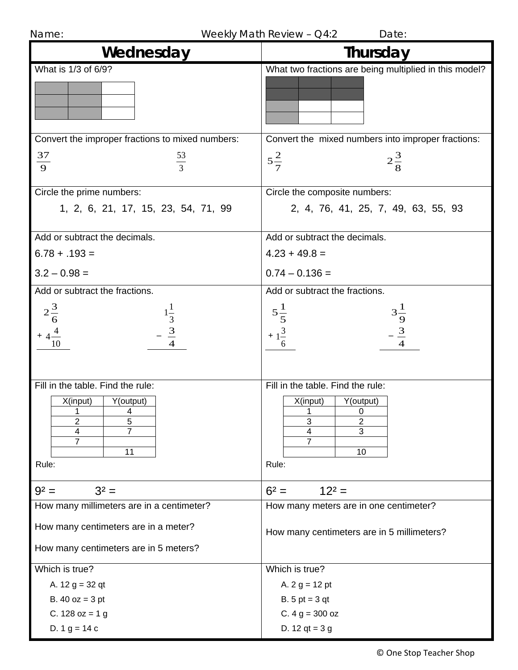|  | Name: |  |
|--|-------|--|
|  |       |  |

Weekly Math Review –  $Q4:2$  Date:

| Wednesday                                                                                                    | Thursday                                                                                                             |
|--------------------------------------------------------------------------------------------------------------|----------------------------------------------------------------------------------------------------------------------|
| What is 1/3 of 6/9?                                                                                          | What two fractions are being multiplied in this model?                                                               |
| Convert the improper fractions to mixed numbers:                                                             | Convert the mixed numbers into improper fractions:                                                                   |
| 37<br>$\frac{53}{3}$<br>$\overline{9}$                                                                       | $5\frac{2}{7}$<br>$2\frac{3}{8}$                                                                                     |
| Circle the prime numbers:                                                                                    | Circle the composite numbers:                                                                                        |
| 1, 2, 6, 21, 17, 15, 23, 54, 71, 99                                                                          | 2, 4, 76, 41, 25, 7, 49, 63, 55, 93                                                                                  |
| Add or subtract the decimals.                                                                                | Add or subtract the decimals.                                                                                        |
| $6.78 + .193 =$                                                                                              | $4.23 + 49.8 =$                                                                                                      |
| $3.2 - 0.98 =$                                                                                               | $0.74 - 0.136 =$                                                                                                     |
| Add or subtract the fractions.                                                                               | Add or subtract the fractions.                                                                                       |
| $2\frac{3}{6}$<br>$\frac{1}{3}$<br>$\frac{3}{4}$<br>$+4\frac{4}{10}$                                         | $5\frac{1}{5}$<br>+ $1\frac{3}{6}$<br>$3\frac{1}{9}$<br>$\frac{3}{4}$                                                |
| Fill in the table. Find the rule:<br>X(input)<br>Y(output)<br>4<br>1<br>2<br>5<br>4<br>7<br>7<br>11<br>Rule: | Fill in the table. Find the rule:<br>X(input)<br>Y(output)<br>0<br>3<br>$\overline{2}$<br>3<br>4<br>7<br>10<br>Rule: |
| $3^2 =$<br>$9^2 =$                                                                                           | $6^2 =$<br>$12^2 =$                                                                                                  |
| How many millimeters are in a centimeter?                                                                    | How many meters are in one centimeter?                                                                               |
| How many centimeters are in a meter?<br>How many centimeters are in 5 meters?                                | How many centimeters are in 5 millimeters?                                                                           |
| Which is true?                                                                                               | Which is true?                                                                                                       |
| A. $12 g = 32 qt$                                                                                            | A. $2 g = 12 pt$                                                                                                     |
| B. $40 oz = 3 pt$                                                                                            | $B. 5 pt = 3 qt$                                                                                                     |
| C. 128 $oz = 1 g$                                                                                            | C. $4 g = 300 oz$                                                                                                    |
| D. $1 g = 14 c$                                                                                              | D. 12 $qt = 3 g$                                                                                                     |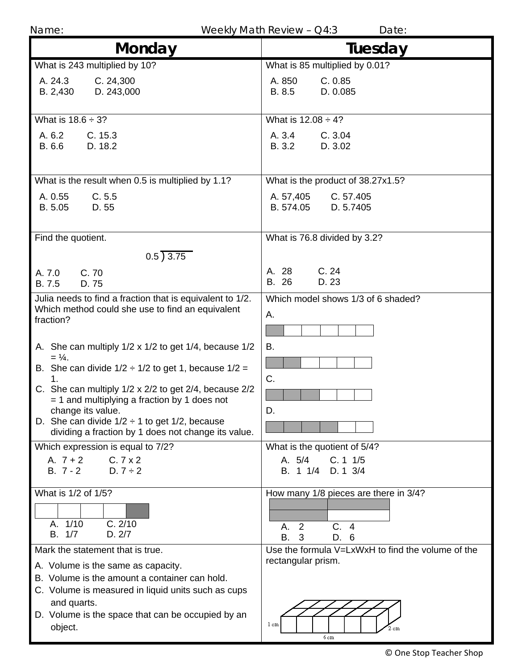Name: Name: Name: Name: Neekly Math Review – Q4:3

| <b>Monday</b>                                                                                                                     | Tuesday                                           |
|-----------------------------------------------------------------------------------------------------------------------------------|---------------------------------------------------|
| What is 243 multiplied by 10?                                                                                                     | What is 85 multiplied by 0.01?                    |
| A. 24.3<br>C. 24,300<br>B. 2,430<br>D. 243,000                                                                                    | C. 0.85<br>A. 850<br>B. 8.5<br>D. 0.085           |
| What is $18.6 \div 3$ ?                                                                                                           | What is $12.08 \div 4?$                           |
| A. 6.2<br>C. 15.3<br>B. 6.6<br>D. 18.2                                                                                            | A. 3.4<br>C.3.04<br>B. 3.2<br>D. 3.02             |
| What is the result when 0.5 is multiplied by 1.1?                                                                                 | What is the product of 38.27x1.5?                 |
| C.5.5<br>A. 0.55<br>B. 5.05<br>D. 55                                                                                              | C. 57.405<br>A. 57,405<br>B. 574.05<br>D. 5.7405  |
| Find the quotient.                                                                                                                | What is 76.8 divided by 3.2?                      |
| 0.5)3.75                                                                                                                          |                                                   |
| C.70<br>A. 7.0<br>B. 7.5<br>D. 75                                                                                                 | A. 28<br>C.24<br>B. 26<br>D. 23                   |
| Julia needs to find a fraction that is equivalent to 1/2.<br>Which method could she use to find an equivalent<br>fraction?        | Which model shows 1/3 of 6 shaded?<br>А.          |
| A. She can multiply 1/2 x 1/2 to get 1/4, because 1/2                                                                             | В.                                                |
| $= \frac{1}{4}$ .<br>B. She can divide $1/2 \div 1/2$ to get 1, because $1/2 =$                                                   |                                                   |
| 1.<br>C. She can multiply 1/2 x 2/2 to get 2/4, because 2/2<br>$=$ 1 and multiplying a fraction by 1 does not                     | C.                                                |
| change its value.<br>D. She can divide $1/2 \div 1$ to get $1/2$ , because<br>dividing a fraction by 1 does not change its value. | D                                                 |
| Which expression is equal to 7/2?                                                                                                 | What is the quotient of 5/4?                      |
| A. $7 + 2$<br>C.7x2<br>$B. 7 - 2$<br>$D.7 \div 2$                                                                                 | A. 5/4<br>C. 11/5<br>B. 1 1/4 D. 1 3/4            |
| What is 1/2 of 1/5?                                                                                                               | How many 1/8 pieces are there in 3/4?             |
|                                                                                                                                   |                                                   |
| A. 1/10<br>C. 2/10<br>B. 1/7<br>D. 2/7                                                                                            | C.4<br>2<br>Α.<br>В.<br>3<br>D. 6                 |
| Mark the statement that is true.                                                                                                  | Use the formula V=LxWxH to find the volume of the |
| A. Volume is the same as capacity.                                                                                                | rectangular prism.                                |
| B. Volume is the amount a container can hold.                                                                                     |                                                   |
| C. Volume is measured in liquid units such as cups<br>and quarts.                                                                 |                                                   |
| D. Volume is the space that can be occupied by an<br>object.                                                                      | 1 cm<br>2. cm<br>бcm                              |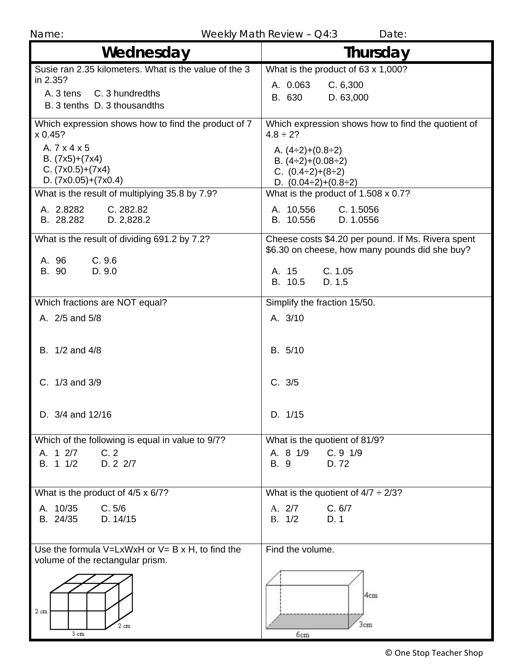Name: Weekly Math Review – Q4:3 Date:

| ,,,,,,,,,,,,,,,,,,,,,,,<br>Wednesday                                                   | Thursday                                                                                             |
|----------------------------------------------------------------------------------------|------------------------------------------------------------------------------------------------------|
| Susie ran 2.35 kilometers. What is the value of the 3                                  | What is the product of 63 x 1,000?                                                                   |
| in 2.35?                                                                               | A. 0.063<br>C.6,300                                                                                  |
| C. 3 hundredths<br>A. 3 tens<br>B. 3 tenths D. 3 thousandths                           | B. 630<br>D. 63,000                                                                                  |
| Which expression shows how to find the product of 7<br>x 0.45?                         | Which expression shows how to find the quotient of<br>$4.8 \div 2?$                                  |
| A. 7 x 4 x 5<br>B. $(7x5)+(7x4)$                                                       | A. $(4\div 2)+(0.8\div 2)$                                                                           |
| $C. (7x0.5)+(7x4)$                                                                     | B. $(4\div 2)+(0.08\div 2)$<br>C. $(0.4\div 2)+(8\div 2)$                                            |
| D. $(7x0.05)+(7x0.4)$                                                                  | D. $(0.04\div 2)+(0.8\div 2)$                                                                        |
| What is the result of multiplying 35.8 by 7.9?                                         | What is the product of 1.508 x 0.7?                                                                  |
| C. 282.82<br>A. 2.8282<br>B. 28.282<br>D. 2,828.2                                      | C. 1.5056<br>A. 10,556<br>B. 10.556<br>D. 1.0556                                                     |
| What is the result of dividing 691.2 by 7.2?                                           | Cheese costs \$4.20 per pound. If Ms. Rivera spent<br>\$6.30 on cheese, how many pounds did she buy? |
| C.9.6<br>A. 96<br>B. 90<br>D. 9.0                                                      | C. 1.05<br>A. 15<br>B. 10.5<br>D. 1.5                                                                |
| Which fractions are NOT equal?                                                         | Simplify the fraction 15/50.                                                                         |
| A. 2/5 and 5/8                                                                         | A. 3/10                                                                                              |
| B. 1/2 and 4/8                                                                         | B. 5/10                                                                                              |
| C. 1/3 and 3/9                                                                         | C. 3/5                                                                                               |
| D. 3/4 and 12/16                                                                       | D. 1/15                                                                                              |
| Which of the following is equal in value to 9/7?                                       | What is the quotient of 81/9?                                                                        |
| A. 1 2/7<br>C.2<br>D. 2 2/7<br>B. 1 1/2                                                | A. 8 1/9 C. 9 1/9<br>D.72<br>B. 9                                                                    |
| What is the product of 4/5 x 6/7?                                                      | What is the quotient of $4/7 \div 2/3$ ?                                                             |
| A. 10/35<br>C. 5/6                                                                     | C. 6/7<br>A. 2/7                                                                                     |
| B. 24/35 D. 14/15                                                                      | B. 1/2<br>D. 1                                                                                       |
| Use the formula $V=LxWxH$ or $V=BxH$ , to find the<br>volume of the rectangular prism. | Find the volume.                                                                                     |
| $2 \text{ cm}$<br>2 cm<br>$3 \text{ cm}$                                               | 4cm<br>3cm<br>6 <sub>cm</sub>                                                                        |

© One Stop Teacher Shop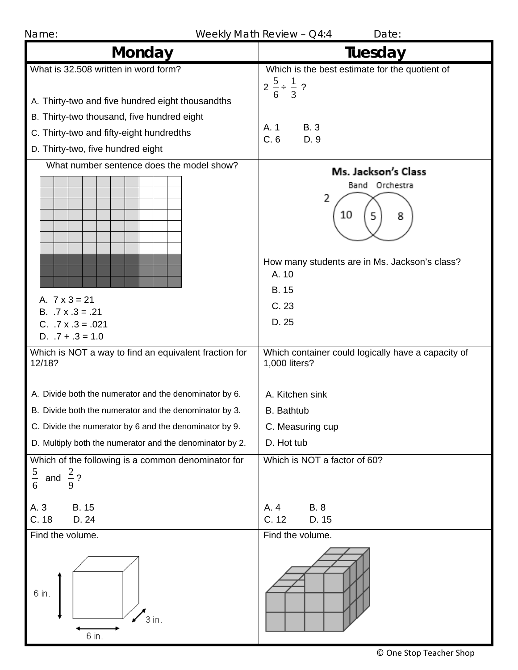| Name:                                                                                                                                                                                                                   | Weekly Math Review - Q4:4<br>Date:                                                                                                                    |
|-------------------------------------------------------------------------------------------------------------------------------------------------------------------------------------------------------------------------|-------------------------------------------------------------------------------------------------------------------------------------------------------|
| Monday                                                                                                                                                                                                                  | Tuesday                                                                                                                                               |
| What is 32.508 written in word form?<br>A. Thirty-two and five hundred eight thousandths<br>B. Thirty-two thousand, five hundred eight<br>C. Thirty-two and fifty-eight hundredths<br>D. Thirty-two, five hundred eight | Which is the best estimate for the quotient of<br>$2\frac{5}{6} \div \frac{1}{3}$ ?<br><b>B.3</b><br>A. 1<br>C.6<br>D. 9                              |
| What number sentence does the model show?<br>A. $7 \times 3 = 21$<br>B. $.7 \times .3 = .21$<br>$C. 7x.3 = .021$<br>D. $.7 + .3 = 1.0$                                                                                  | Ms. Jackson's Class<br>Band Orchestra<br>2<br>10<br>5<br>8<br>How many students are in Ms. Jackson's class?<br>A. 10<br><b>B.</b> 15<br>C.23<br>D. 25 |
| Which is NOT a way to find an equivalent fraction for<br>12/18?<br>A. Divide both the numerator and the denominator by 6.                                                                                               | Which container could logically have a capacity of<br>1,000 liters?<br>A. Kitchen sink                                                                |
| B. Divide both the numerator and the denominator by 3.                                                                                                                                                                  | B. Bathtub                                                                                                                                            |
| C. Divide the numerator by 6 and the denominator by 9.                                                                                                                                                                  | C. Measuring cup                                                                                                                                      |
| D. Multiply both the numerator and the denominator by 2.                                                                                                                                                                | D. Hot tub                                                                                                                                            |
| Which of the following is a common denominator for<br>$\frac{5}{6}$<br>and $\frac{2}{7}$ ?<br>9                                                                                                                         | Which is NOT a factor of 60?                                                                                                                          |
| A. 3<br><b>B.</b> 15<br>C. 18<br>D. 24                                                                                                                                                                                  | A. 4<br><b>B.</b> 8<br>C. 12<br>D. 15                                                                                                                 |
| Find the volume.                                                                                                                                                                                                        | Find the volume.                                                                                                                                      |
| 6 in.<br>$3$ in.<br>6 in.                                                                                                                                                                                               |                                                                                                                                                       |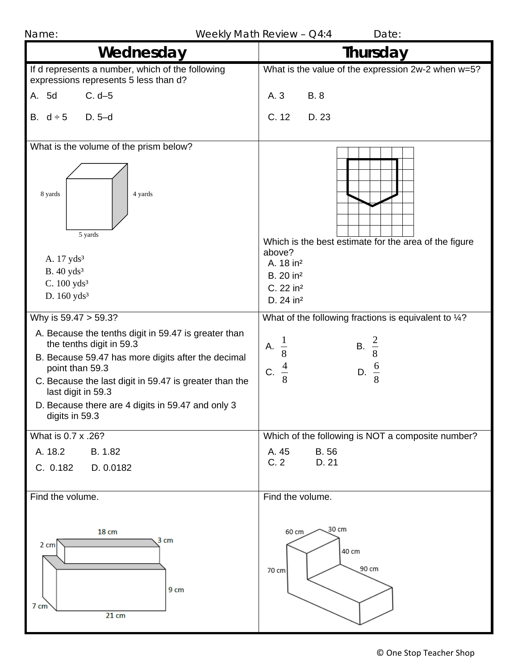| Name:                                                                                                                                                                                                                                                                                                                                    | Weekly Math Review - Q4:4<br>Date:                                                                                                              |
|------------------------------------------------------------------------------------------------------------------------------------------------------------------------------------------------------------------------------------------------------------------------------------------------------------------------------------------|-------------------------------------------------------------------------------------------------------------------------------------------------|
| Wednesday                                                                                                                                                                                                                                                                                                                                | Thursday                                                                                                                                        |
| If d represents a number, which of the following<br>expressions represents 5 less than d?                                                                                                                                                                                                                                                | What is the value of the expression 2w-2 when w=5?                                                                                              |
| $C. d-5$<br>A. 5d                                                                                                                                                                                                                                                                                                                        | A. 3<br><b>B.</b> 8                                                                                                                             |
| $D. 5-d$<br>B. $d \div 5$                                                                                                                                                                                                                                                                                                                | C. 12<br>D. 23                                                                                                                                  |
| What is the volume of the prism below?<br>8 yards<br>4 yards<br>5 yards<br>A. 17 yds <sup>3</sup><br>B. 40 yds <sup>3</sup><br>C. $100 \text{ yds}^3$<br>D. $160$ yds <sup>3</sup>                                                                                                                                                       | Which is the best estimate for the area of the figure<br>above?<br>A. 18 in <sup>2</sup><br>B. 20 in <sup>2</sup><br>C. 22 in <sup>2</sup>      |
|                                                                                                                                                                                                                                                                                                                                          | D. 24 in <sup>2</sup>                                                                                                                           |
| Why is 59.47 > 59.3?<br>A. Because the tenths digit in 59.47 is greater than<br>the tenths digit in 59.3<br>B. Because 59.47 has more digits after the decimal<br>point than 59.3<br>C. Because the last digit in 59.47 is greater than the<br>last digit in 59.3<br>D. Because there are 4 digits in 59.47 and only 3<br>digits in 59.3 | What of the following fractions is equivalent to 1/4?<br>$\frac{1}{8}$ $\frac{4}{8}$<br><b>B.</b> $\frac{2}{8}$<br>А.<br>D. $\frac{6}{8}$<br>C. |
| What is 0.7 x .26?                                                                                                                                                                                                                                                                                                                       | Which of the following is NOT a composite number?                                                                                               |
| A. 18.2<br>B. 1.82<br>C. 0.182<br>D. 0.0182                                                                                                                                                                                                                                                                                              | <b>B.56</b><br>A. 45<br>C.2<br>D. 21                                                                                                            |
| Find the volume.                                                                                                                                                                                                                                                                                                                         | Find the volume.                                                                                                                                |
| 18 cm<br>3 cm<br>2 cm<br>9 cm<br>$7 \text{ cm}$<br>$21 \text{ cm}$                                                                                                                                                                                                                                                                       | 30 cm<br>60 cm<br>40 cm<br>90 cm<br>70 cm                                                                                                       |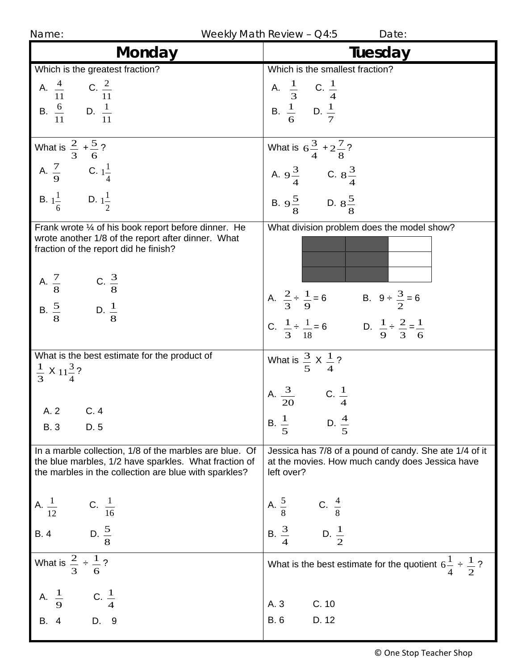| Name: |
|-------|
|       |

Weekly Math Review –  $Q4:5$  Date:

| Monday                                                                                                                                                                                   | Tuesday                                                                                                                                                     |
|------------------------------------------------------------------------------------------------------------------------------------------------------------------------------------------|-------------------------------------------------------------------------------------------------------------------------------------------------------------|
| Which is the greatest fraction?                                                                                                                                                          | Which is the smallest fraction?                                                                                                                             |
| A. $\frac{4}{11}$ C. $\frac{2}{11}$<br>B. $\frac{6}{11}$ D. $\frac{1}{11}$                                                                                                               | A. $\frac{1}{3}$ C. $\frac{1}{4}$<br>B. $\frac{1}{6}$ D. $\frac{1}{7}$                                                                                      |
| What is $\frac{2}{3} + \frac{5}{6}$ ?<br>A. $\frac{7}{9}$ C. $1\frac{1}{4}$                                                                                                              | What is $6\frac{3}{4} + 2\frac{7}{8}$ ?<br>A. $9\frac{3}{4}$ C. $8\frac{3}{4}$                                                                              |
| <b>B.</b> $1\frac{1}{6}$ <b>D.</b> $1\frac{1}{2}$                                                                                                                                        | B. $9\frac{5}{8}$ D. $8\frac{5}{8}$                                                                                                                         |
| Frank wrote 1/4 of his book report before dinner. He<br>wrote another 1/8 of the report after dinner. What<br>fraction of the report did he finish?<br>A. $\frac{7}{8}$ C. $\frac{3}{8}$ | What division problem does the model show?                                                                                                                  |
| B. $\frac{5}{8}$ D. $\frac{1}{8}$                                                                                                                                                        | A. $\frac{2}{3} \div \frac{1}{9} = 6$ B. $9 \div \frac{3}{2} = 6$<br>C. $\frac{1}{3} \div \frac{1}{18} = 6$ D. $\frac{1}{9} \div \frac{2}{3} = \frac{1}{6}$ |
| What is the best estimate for the product of<br>$rac{1}{3}$ X 11 $rac{3}{4}$ ?                                                                                                           | What is $\frac{3}{5}$ X $\frac{1}{4}$ ?                                                                                                                     |
| A. 2<br>C.4<br><b>B.3</b><br>D. 5                                                                                                                                                        | A. $\frac{3}{20}$ C. $\frac{1}{4}$<br>B. $\frac{1}{5}$<br>D. $\frac{4}{5}$                                                                                  |
| In a marble collection, 1/8 of the marbles are blue. Of<br>the blue marbles, 1/2 have sparkles. What fraction of<br>the marbles in the collection are blue with sparkles?                | Jessica has 7/8 of a pound of candy. She ate 1/4 of it<br>at the movies. How much candy does Jessica have<br>left over?                                     |
| A. $\frac{1}{12}$ C. $\frac{1}{16}$                                                                                                                                                      | A. $\frac{5}{8}$ C. $\frac{4}{8}$<br>B. $\frac{3}{4}$ D. $\frac{1}{2}$                                                                                      |
| B. 4 D. $\frac{5}{8}$                                                                                                                                                                    |                                                                                                                                                             |
| What is $\frac{2}{3} \div \frac{1}{6}$ ?                                                                                                                                                 | What is the best estimate for the quotient $6\frac{1}{4} \div \frac{1}{2}$ ?                                                                                |
| A. $\frac{1}{9}$ C. $\frac{1}{4}$<br>B. 4 D. 9                                                                                                                                           | C. 10<br>A. 3                                                                                                                                               |
|                                                                                                                                                                                          | D. 12<br><b>B.</b> 6                                                                                                                                        |